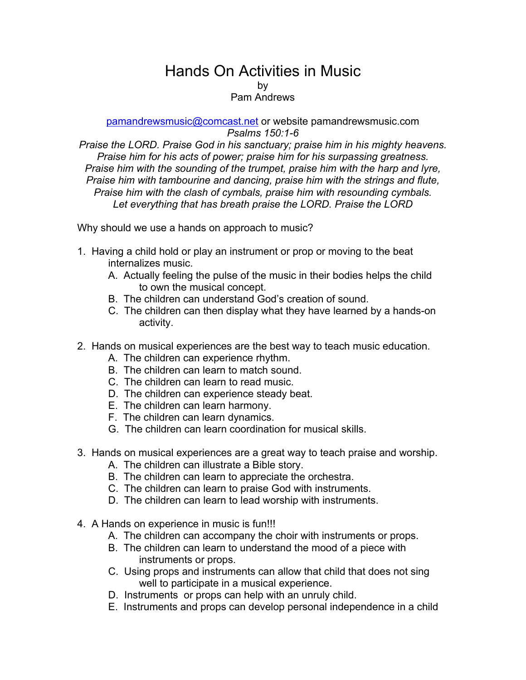## Hands On Activities in Music

by

## Pam Andrews

pamandrewsmusic@comcast.net or website pamandrewsmusic.com *Psalms 150:1-6*

*Praise the LORD. Praise God in his sanctuary; praise him in his mighty heavens. Praise him for his acts of power; praise him for his surpassing greatness. Praise him with the sounding of the trumpet, praise him with the harp and lyre, Praise him with tambourine and dancing, praise him with the strings and flute, Praise him with the clash of cymbals, praise him with resounding cymbals. Let everything that has breath praise the LORD. Praise the LORD*

Why should we use a hands on approach to music?

- 1. Having a child hold or play an instrument or prop or moving to the beat internalizes music.
	- A. Actually feeling the pulse of the music in their bodies helps the child to own the musical concept.
	- B. The children can understand God's creation of sound.
	- C. The children can then display what they have learned by a hands-on activity.
- 2. Hands on musical experiences are the best way to teach music education.
	- A. The children can experience rhythm.
	- B. The children can learn to match sound.
	- C. The children can learn to read music.
	- D. The children can experience steady beat.
	- E. The children can learn harmony.
	- F. The children can learn dynamics.
	- G. The children can learn coordination for musical skills.
- 3. Hands on musical experiences are a great way to teach praise and worship.
	- A. The children can illustrate a Bible story.
	- B. The children can learn to appreciate the orchestra.
	- C. The children can learn to praise God with instruments.
	- D. The children can learn to lead worship with instruments.
- 4. A Hands on experience in music is fun!!!
	- A. The children can accompany the choir with instruments or props.
	- B. The children can learn to understand the mood of a piece with instruments or props.
	- C. Using props and instruments can allow that child that does not sing well to participate in a musical experience.
	- D. Instruments or props can help with an unruly child.
	- E. Instruments and props can develop personal independence in a child